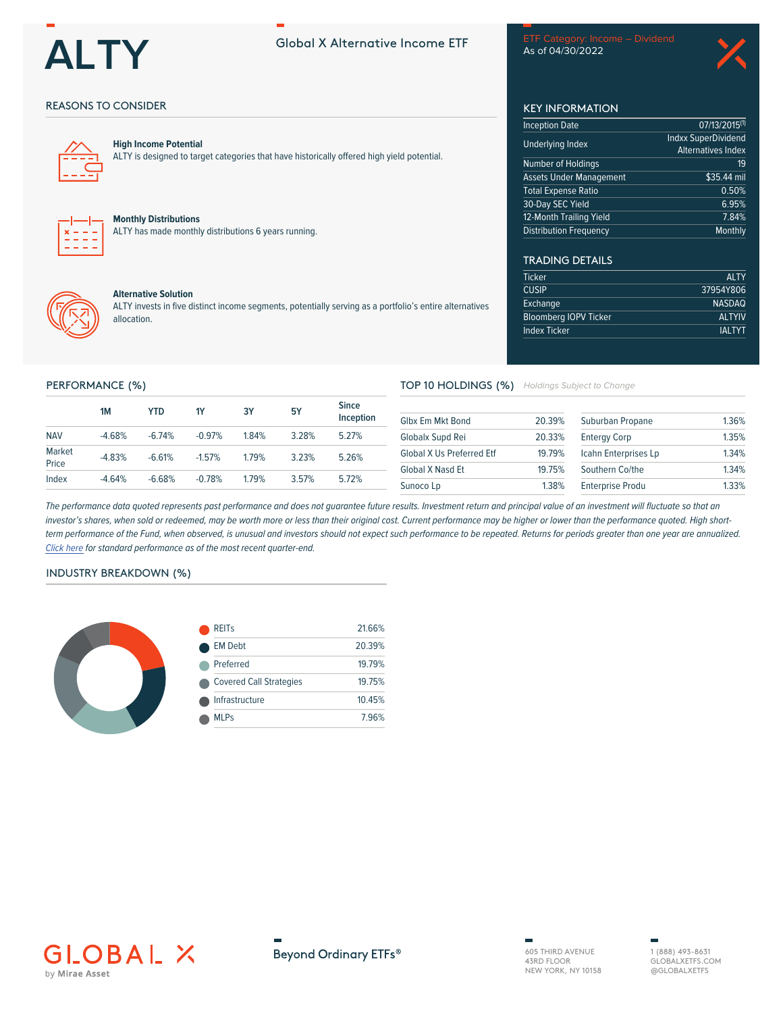

ETF Category: Income - Dividend As of 04/30/2022

## **REASONS TO CONSIDER**



## **High Income Potential**

ALTY is designed to target categories that have historically offered high yield potential.

#### **Monthly Distributions**

ALTY has made monthly distributions 6 years running.



## **Alternative Solution**

ALTY invests in five distinct income segments, potentially serving as a portfolio's entire alternatives allocation.

## **KEY INFORMATION**

| <b>Inception Date</b>          | $07/13/2015^{(1)}$        |
|--------------------------------|---------------------------|
| <b>Underlying Index</b>        | Indxx SuperDividend       |
|                                | <b>Alternatives Index</b> |
| Number of Holdings             | 19                        |
| <b>Assets Under Management</b> | \$35.44 mil               |
| <b>Total Expense Ratio</b>     | 0.50%                     |
| 30-Day SEC Yield               | 6.95%                     |
| 12-Month Trailing Yield        | 7.84%                     |
| <b>Distribution Frequency</b>  | Monthly                   |

## **TRADING DETAILS**

| <b>Ticker</b>                | <b>ALTY</b>   |
|------------------------------|---------------|
| <b>CUSIP</b>                 | 37954Y806     |
| Exchange                     | <b>NASDAQ</b> |
| <b>Bloomberg IOPV Ticker</b> | <b>ALTYIV</b> |
| <b>Index Ticker</b>          | <b>IALTYT</b> |
|                              |               |

### PERFORMANCE (%)

|                 | 1M       | YTD      | <b>1Y</b> | 3Y    | <b>5Y</b> | <b>Since</b><br>Inception |
|-----------------|----------|----------|-----------|-------|-----------|---------------------------|
| <b>NAV</b>      | $-4.68%$ | $-6.74%$ | $-0.97%$  | 1.84% | 3 28%     | 5 2 7%                    |
| Market<br>Price | $-4.83%$ | $-6.61%$ | $-1.57%$  | 1.79% | 3 2 3%    | 5.26%                     |
| Index           | $-4.64%$ | $-6.68%$ | $-0.78%$  | 179%  | 3.57%     | 5.72%                     |

# TOP 10 HOLDINGS (%) Holdings Subject to Change

| 20.39% | Suburban Propane        | 1.36% |
|--------|-------------------------|-------|
| 20.33% | <b>Entergy Corp</b>     | 1.35% |
| 19 79% | Icahn Enterprises Lp    | 1.34% |
| 19 75% | Southern Co/the         | 1.34% |
| 138%   | <b>Enterprise Produ</b> | 1.33% |
|        |                         |       |

The performance data quoted represents past performance and does not guarantee future results. Investment return and principal value of an investment will fluctuate so that an investor's shares, when sold or redeemed, may be worth more or less than their original cost. Current performance may be higher or lower than the performance quoted. High shortterm performance of the Fund, when observed, is unusual and investors should not expect such performance to be repeated. Returns for periods greater than one year are annualized. Click here for standard performance as of the most recent quarter-end.

## **INDUSTRY BREAKDOWN (%)**



| <b>REIT<sub>S</sub></b>        | 21.66% |
|--------------------------------|--------|
| <b>EM Debt</b>                 | 20.39% |
| Preferred                      | 19.79% |
| <b>Covered Call Strategies</b> | 19.75% |
| Infrastructure                 | 10.45% |
| MI Ps                          | 7.96%  |
|                                |        |





605 THIRD AVENUE 43RD FLOOR<br>NEW YORK, NY 10158